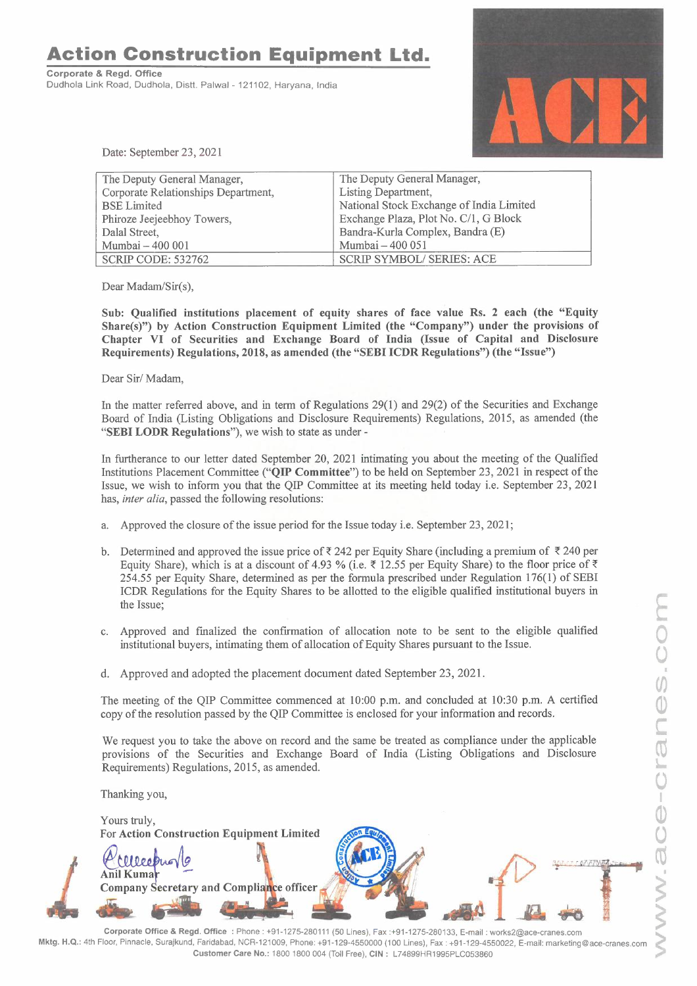**Action Construction Equipment Ltd.** 

**Corporate** & **Regd. Office**  Dudhola Link Road, Dudhola, Distt. Palwal - 121102, Haryana, India



Date: September 23, 2021

| The Deputy General Manager,              |
|------------------------------------------|
| Listing Department,                      |
| National Stock Exchange of India Limited |
| Exchange Plaza, Plot No. C/1, G Block    |
| Bandra-Kurla Complex, Bandra (E)         |
| Mumbai - 400 051                         |
| <b>SCRIP SYMBOL/ SERIES: ACE</b>         |
|                                          |

Dear Madam/Sir(s),

**Sub: Qualified institutions placement of equity shares of face value Rs. 2 each (the "Equity Share(s)") by Action Construction Equipment Limited (the "Company") under the provisions of Chapter VI of Securities and Exchange Board of India (Issue of Capital and Disclosure Requirements) Regulations, 2018, as amended (the "SEBI ICDR Regulations") (the "Issue")** 

Dear Sir/ Madam,

In the matter referred above, and in term of Regulations 29(1) and 29(2) of the Securities and Exchange Board of India (Listing Obligations and Disclosure Requirements) Regulations, 2015, as amended (the **"SEBI LODR Regulations"),** we wish to state as under -

In furtherance to our letter dated September 20, 2021 intimating you about the meeting of the Qualified Institutions Placement Committee **("QIP Committee")** to be held on September 23, 2021 in respect of the Issue, we wish to inform you that the QIP Committee at its meeting held today i.e. September 23, 2021 has, *inter alia,* passed the following resolutions:

- a. Approved the closure of the issue period for the Issue today i.e. September 23, 2021;
- b. Determined and approved the issue price of  $\bar{\xi}$  242 per Equity Share (including a premium of  $\bar{\xi}$  240 per Equity Share), which is at a discount of 4.93 % (i.e.  $\bar{\tau}$  12.55 per Equity Share) to the floor price of  $\bar{\tau}$ 254.55 per Equity Share, determined as per the formula prescribed under Regulation 176(1) of SEBI ICDR Regulations for the Equity Shares to be allotted to the eligible qualified institutional buyers in the Issue;
- c. Approved and finalized the confrrmation of allocation note to be sent to the eligible qualified institutional buyers, intimating them of allocation of Equity Shares pursuant to the Issue.
- d. Approved and adopted the placement document dated September 23, 2021.

The meeting of the QIP Committee commenced at 10:00 p.m. and concluded at 10:30 p.m. A certified copy of the resolution passed by the QIP Committee is enclosed for your information and records.

We request you to take the above on record and the same be treated as compliance under the applicable provisions of the Securities and Exchange Board of India (Listing Obligations and Disclosure Requirements) Regulations, 2015, as amended.

Thanking you,

Yours truly, **For Action Construction Equipment Limited** Meobu **Anil Kuma** and Compliance officer Company S

**Corporate Office** & **Regd. Office :** Phone: +91-1275-280111 (50 Lines), Fax :+91-1275-280133, E-mail: works2@ace-cranes.com s **Mktg. H.Q.:** 4th Floor, Pinnacle, Surajkund, Faridabad, NCR-121009, Phone: +91-129-4550000 (100 Lines), Fax: +91-129-4550022, E-mail: marketing@ace-cranes.com **Customer Care No.:** 1800 1800 004 (Toll Free), **CIN:** L74899HR1995PLC053860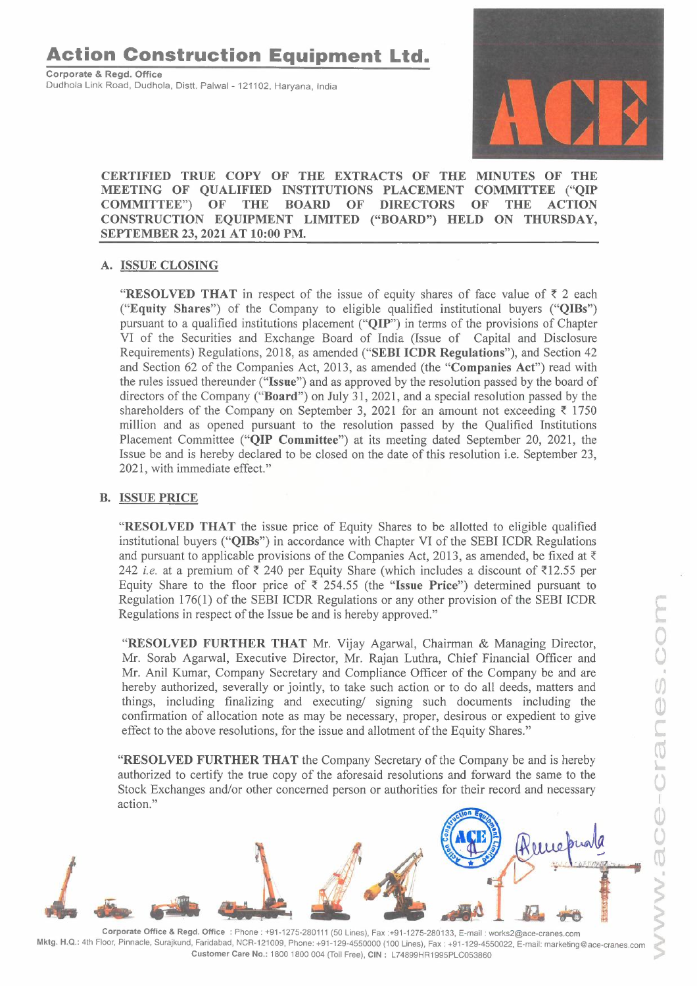# **Action Construction Equipment Ltd.**

**Corporate** & **Regd. Office**  Dudhola Link Road, Dudhola, Distt. Palwal - 121102, Haryana, India



## **CERTIFIED TRUE COPY OF THE EXTRACTS OF THE MINUTES OF THE MEETING OF QUALIFIED INSTITUTIONS PLACEMENT COMMITTEE ("QIP COMMITTEE") OF THE BOARD OF DIRECTORS OF THE ACTION CONSTRUCTION EQUIPMENT LIMITED ("BOARD") HELD ON THURSDAY, SEPTEMBER 23, 2021 AT 10:00 PM.**

## **A. ISSUE CLOSING**

"RESOLVED THAT in respect of the issue of equity shares of face value of  $\bar{\tau}$  2 each **("Equity Shares")** of the Company to eligible qualified institutional buyers **("QIBs")**  pursuant to a qualified institutions placement **("QIP")** in terms of the provisions of Chapter VI of the Securities and Exchange Board of India (Issue of Capital and Disclosure Requirements) Regulations, 2018, as amended **("SEBI ICDR Regulations"),** and Section 42 and Section 62 of the Companies Act, 2013, as amended (the **"Companies Act")** read with the rules issued thereunder **("Issue")** and as approved by the resolution passed by the board of directors of the Company **("Board")** on July 31, 2021, and a special resolution passed by the shareholders of the Company on September 3, 2021 for an amount not exceeding  $\bar{\tau}$  1750 million and as opened pursuant to the resolution passed by the Qualified Institutions Placement Committee **("QIP Committee")** at its meeting dated September 20, 2021, the Issue be and is hereby declared to be closed on the date of this resolution i.e. September 23, 2021, with immediate effect."

#### **B. ISSUE PRICE**

**"RESOLVED THAT** the issue price of Equity Shares to be allotted to eligible qualified institutional buyers **("QIBs")** in accordance with Chapter VI of the SEBI ICDR Regulations and pursuant to applicable provisions of the Companies Act, 2013, as amended, be fixed at  $\bar{\tau}$ 242 *i.e.* at a premium of  $\bar{\tau}$  240 per Equity Share (which includes a discount of  $\bar{\tau}$ 12.55 per Equity Share to the floor price of  $\bar{\xi}$  254.55 (the "Issue Price") determined pursuant to Regulation 176(1) of the SEBI ICDR Regulations or any other provision of the SEBI ICDR Regulations in respect of the Issue be and is hereby approved."

**"RESOLVED FURTHER THAT** Mr. Vijay Agarwal, Chairman & Managing Director, Mr. Sorab Agarwal, Executive Director, Mr. Rajan Luthra, Chief Financial Officer and Mr. Anil Kumar, Company Secretary and Compliance Officer of the Company be and are hereby authorized, severally or jointly, to take such action or to do all deeds, matters and things, including finalizing and executing/ signing such documents including the confirmation of allocation note as may be necessary, proper, desirous or expedient to give effect to the above resolutions, for the issue and allotment of the Equity Shares."

**"RESOLVED FURTHER THAT** the Company Secretary of the Company be and is hereby authorized to certify the true copy of the aforesaid resolutions and forward the same to the Stock Exchanges and/or other concerned person or authorities for their record and necessary action."



**Corporate Office** & **Regd. Office :** Phone: +91-1275-280111 (50 Lines), Fax :+91-1275-280133, E-mail: works2@ace-cranes.com **Mktg. H.Q.:** 4th Floor, Pinnacle, Surajkund, Faridabad, NCR-121009, Phone: +91-129-4550000 (100 Lines), Fax: +91-129-4550022, E-mail: marketing@ace-cranes.com **Customer Care No.:** 1800 1800 004 (Toll Free), **CIN:** L74899HR1995PLC053860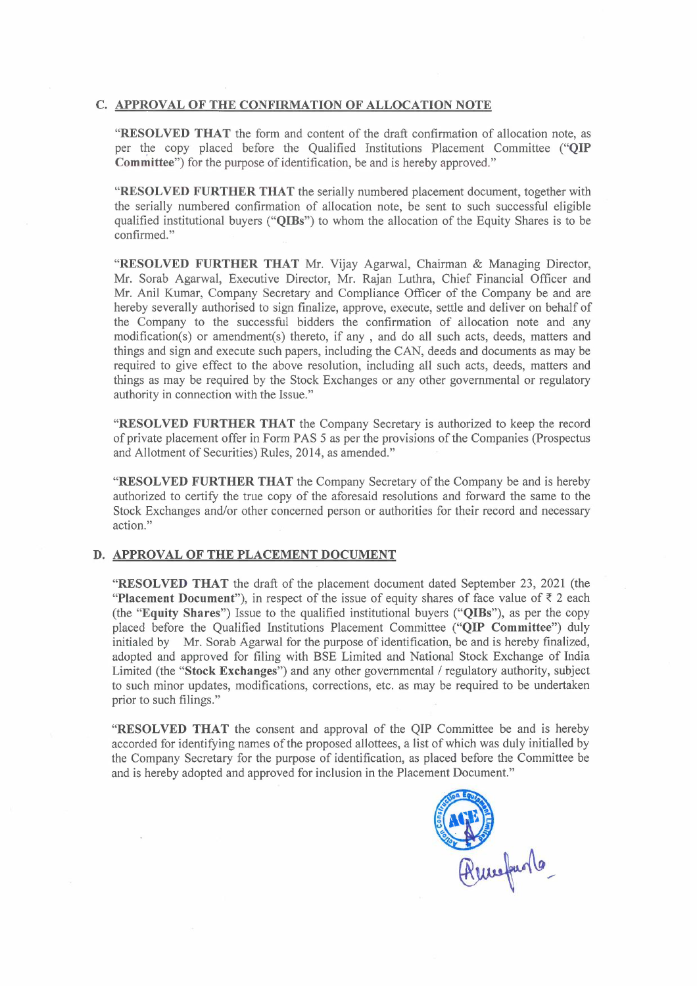#### **C. APPROVAL OF THE CONFIRMATION OF ALLOCATION NOTE**

**"RESOLVED THAT** the form and content of the draft confirmation of allocation note, as per the copy placed before the Qualified Institutions Placement Committee **("QIP Committee")** for the purpose of identification, be and is hereby approved."

**"RESOLVED FURTHER THAT** the serially numbered placement document, together with the serially numbered confirmation of allocation note, be sent to such successful eligible qualified institutional buyers **("QIBs")** to whom the allocation of the Equity Shares is to be confirmed."

**"RESOLVED FURTHER THAT** Mr. Vijay Agarwal, Chairman & Managing Director, Mr. Sorab Agarwal, Executive Director, Mr. Rajan Luthra, Chief Financial Officer and Mr. Anil Kumar, Company Secretary and Compliance Officer of the Company be and are hereby severally authorised to sign finalize, approve, execute, settle and deliver on behalf of the Company to the successful bidders the confirmation of allocation note and any modification(s) or amendment(s) thereto, if any , and do all such acts, deeds, matters and things and sign and execute such papers, including the CAN, deeds and documents as may be required to give effect to the above resolution, including all such acts, deeds, matters and things as may be required by the Stock Exchanges or any other governmental or regulatory authority in connection with the Issue."

**"RESOLVED FURTHER THAT** the Company Secretary is authorized to keep the record of private placement offer in Form PAS 5 as per the provisions of the Companies (Prospectus and Allotment of Securities) Rules, 2014, as amended."

**"RESOLVED FURTHER THAT** the Company Secretary of the Company be and is hereby authorized to certify the true copy of the aforesaid resolutions and forward the same to the Stock Exchanges and/or other concerned person or authorities for their record and necessary action."

#### **D. APPROVAL OF THE PLACEMENT DOCUMENT**

**"RESOLVED THAT** the draft of the placement document dated September 23, 2021 (the "Placement Document"), in respect of the issue of equity shares of face value of  $\bar{z}$  2 each (the **"Equity Shares")** Issue to the qualified institutional buyers **("QIBs"),** as per the copy placed before the Qualified Institutions Placement Committee **("QIP Committee")** duly initialed by **Mr.** Sorab Agarwal for the purpose of identification, be and is hereby finalized, adopted and approved for filing with BSE Limited and National Stock Exchange of India Limited (the **"Stock Exchanges")** and any other governmental/ regulatory authority, subject to such minor updates, modifications, corrections, etc. as may be required to be undertaken prior to such filings."

**"RESOLVED THAT** the consent and approval of the QIP Committee be and is hereby accorded for identifying names of the proposed allottees, a list of which was duly initialled by the Company Secretary for the purpose of identification, as placed before the Committee be and is hereby adopted and approved for inclusion in the Placement Document."

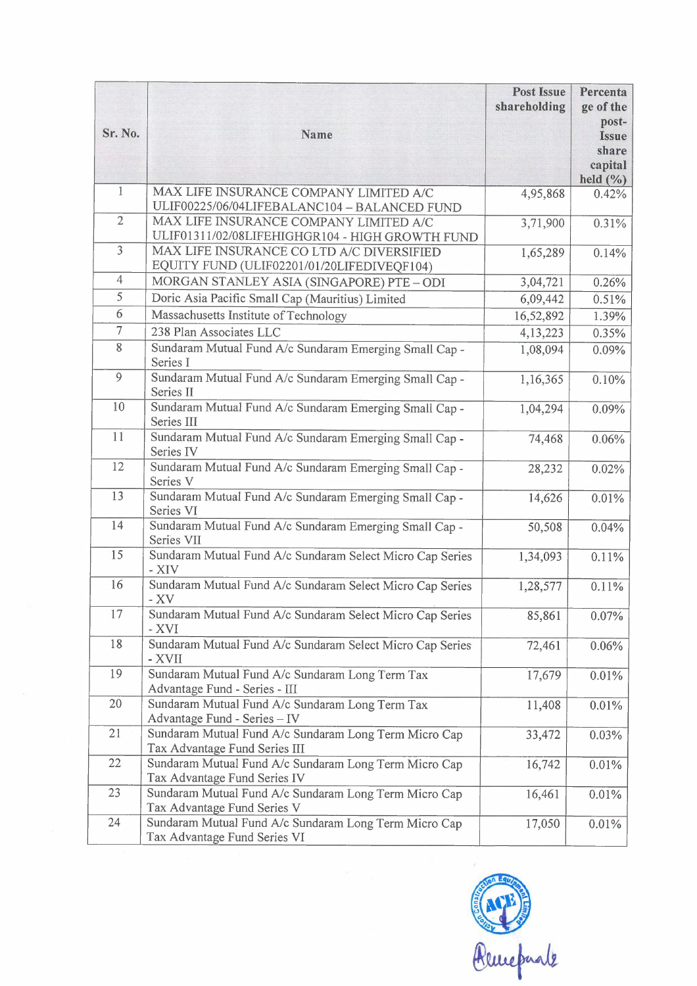|                |                                                                                           | <b>Post Issue</b><br>shareholding | Percenta<br>ge of the<br>post-                   |
|----------------|-------------------------------------------------------------------------------------------|-----------------------------------|--------------------------------------------------|
| Sr. No.        | Name                                                                                      |                                   | <b>Issue</b><br>share<br>capital<br>held $(\% )$ |
| $\mathbf{1}$   | MAX LIFE INSURANCE COMPANY LIMITED A/C<br>ULIF00225/06/04LIFEBALANC104 - BALANCED FUND    | 4,95,868                          | 0.42%                                            |
| $\overline{2}$ | MAX LIFE INSURANCE COMPANY LIMITED A/C<br>ULIF01311/02/08LIFEHIGHGR104 - HIGH GROWTH FUND | 3,71,900                          | 0.31%                                            |
| $\overline{3}$ | MAX LIFE INSURANCE CO LTD A/C DIVERSIFIED<br>EQUITY FUND (ULIF02201/01/20LIFEDIVEQF104)   | 1,65,289                          | 0.14%                                            |
| $\overline{4}$ | MORGAN STANLEY ASIA (SINGAPORE) PTE - ODI                                                 | 3,04,721                          | 0.26%                                            |
| 5              | Doric Asia Pacific Small Cap (Mauritius) Limited                                          | 6,09,442                          | 0.51%                                            |
| 6              | Massachusetts Institute of Technology                                                     | 16,52,892                         | 1.39%                                            |
| $\overline{7}$ | 238 Plan Associates LLC                                                                   | 4,13,223                          | 0.35%                                            |
| $\overline{8}$ | Sundaram Mutual Fund A/c Sundaram Emerging Small Cap -<br>Series I                        | 1,08,094                          | 0.09%                                            |
| 9              | Sundaram Mutual Fund A/c Sundaram Emerging Small Cap -<br>Series II                       | 1,16,365                          | 0.10%                                            |
| 10             | Sundaram Mutual Fund A/c Sundaram Emerging Small Cap -<br>Series III                      | 1,04,294                          | 0.09%                                            |
| 11             | Sundaram Mutual Fund A/c Sundaram Emerging Small Cap -<br>Series IV                       | 74,468                            | 0.06%                                            |
| 12             | Sundaram Mutual Fund A/c Sundaram Emerging Small Cap -<br>Series V                        | 28,232                            | 0.02%                                            |
| 13             | Sundaram Mutual Fund A/c Sundaram Emerging Small Cap -<br>Series VI                       | 14,626                            | 0.01%                                            |
| 14             | Sundaram Mutual Fund A/c Sundaram Emerging Small Cap -<br>Series VII                      | 50,508                            | 0.04%                                            |
| 15             | Sundaram Mutual Fund A/c Sundaram Select Micro Cap Series<br>- XIV                        | 1,34,093                          | 0.11%                                            |
| 16             | Sundaram Mutual Fund A/c Sundaram Select Micro Cap Series<br>$-XV$                        | 1,28,577                          | 0.11%                                            |
| 17             | Sundaram Mutual Fund A/c Sundaram Select Micro Cap Series<br>- XVI                        | 85,861                            | 0.07%                                            |
| 18             | Sundaram Mutual Fund A/c Sundaram Select Micro Cap Series<br>- XVII                       | 72,461                            | 0.06%                                            |
| 19             | Sundaram Mutual Fund A/c Sundaram Long Term Tax<br>Advantage Fund - Series - III          | 17,679                            | 0.01%                                            |
| 20             | Sundaram Mutual Fund A/c Sundaram Long Term Tax<br>Advantage Fund - Series - IV           | 11,408                            | 0.01%                                            |
| 21             | Sundaram Mutual Fund A/c Sundaram Long Term Micro Cap<br>Tax Advantage Fund Series III    | 33,472                            | 0.03%                                            |
| 22             | Sundaram Mutual Fund A/c Sundaram Long Term Micro Cap<br>Tax Advantage Fund Series IV     | 16,742                            | 0.01%                                            |
| 23             | Sundaram Mutual Fund A/c Sundaram Long Term Micro Cap<br>Tax Advantage Fund Series V      | 16,461                            | 0.01%                                            |
| 24             | Sundaram Mutual Fund A/c Sundaram Long Term Micro Cap<br>Tax Advantage Fund Series VI     | 17,050                            | 0.01%                                            |